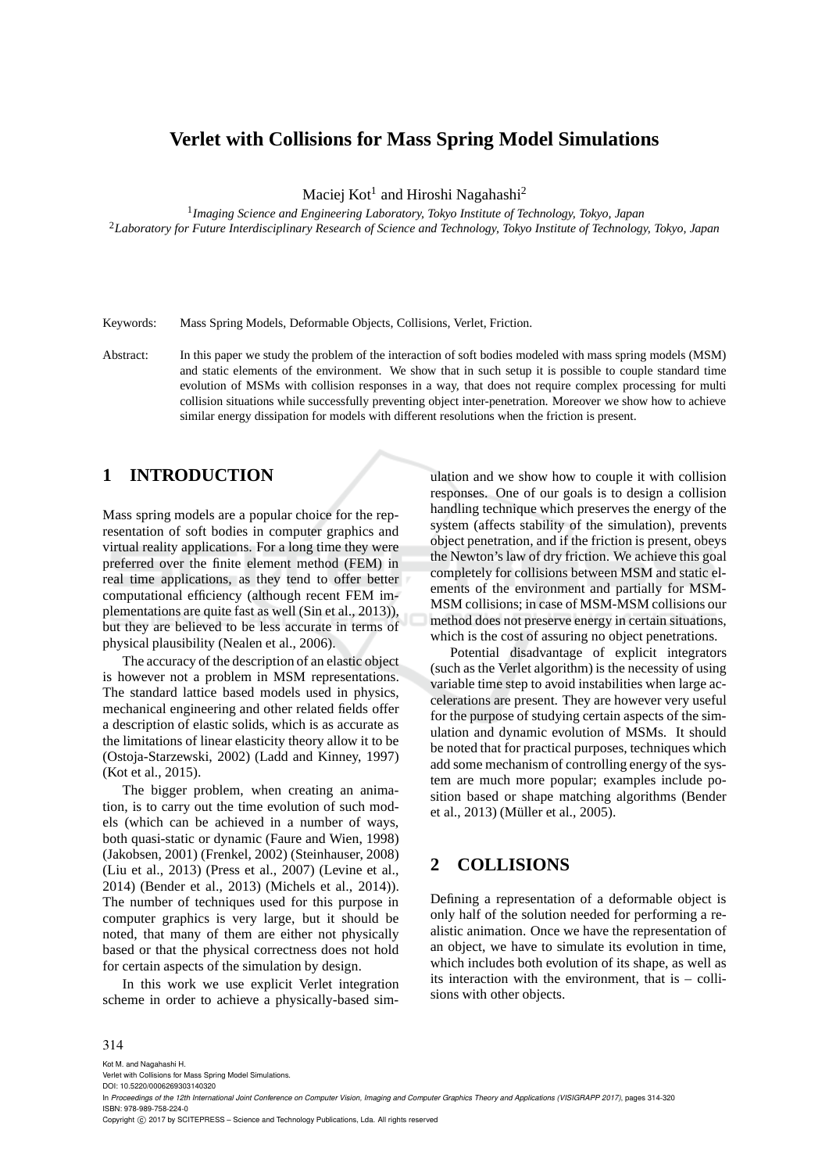## **Verlet with Collisions for Mass Spring Model Simulations**

Maciej  $\mathrm{Kot}^1$  and Hiroshi Nagahashi $^2$ 

1 *Imaging Science and Engineering Laboratory, Tokyo Institute of Technology, Tokyo, Japan* <sup>2</sup>*Laboratory for Future Interdisciplinary Research of Science and Technology, Tokyo Institute of Technology, Tokyo, Japan*

Keywords: Mass Spring Models, Deformable Objects, Collisions, Verlet, Friction.

Abstract: In this paper we study the problem of the interaction of soft bodies modeled with mass spring models (MSM) and static elements of the environment. We show that in such setup it is possible to couple standard time evolution of MSMs with collision responses in a way, that does not require complex processing for multi collision situations while successfully preventing object inter-penetration. Moreover we show how to achieve similar energy dissipation for models with different resolutions when the friction is present.

# **1 INTRODUCTION**

Mass spring models are a popular choice for the representation of soft bodies in computer graphics and virtual reality applications. For a long time they were preferred over the finite element method (FEM) in real time applications, as they tend to offer better computational efficiency (although recent FEM implementations are quite fast as well (Sin et al., 2013)), but they are believed to be less accurate in terms of physical plausibility (Nealen et al., 2006).

The accuracy of the description of an elastic object is however not a problem in MSM representations. The standard lattice based models used in physics, mechanical engineering and other related fields offer a description of elastic solids, which is as accurate as the limitations of linear elasticity theory allow it to be (Ostoja-Starzewski, 2002) (Ladd and Kinney, 1997) (Kot et al., 2015).

The bigger problem, when creating an animation, is to carry out the time evolution of such models (which can be achieved in a number of ways, both quasi-static or dynamic (Faure and Wien, 1998) (Jakobsen, 2001) (Frenkel, 2002) (Steinhauser, 2008) (Liu et al., 2013) (Press et al., 2007) (Levine et al., 2014) (Bender et al., 2013) (Michels et al., 2014)). The number of techniques used for this purpose in computer graphics is very large, but it should be noted, that many of them are either not physically based or that the physical correctness does not hold for certain aspects of the simulation by design.

In this work we use explicit Verlet integration scheme in order to achieve a physically-based sim-

ulation and we show how to couple it with collision responses. One of our goals is to design a collision handling technique which preserves the energy of the system (affects stability of the simulation), prevents object penetration, and if the friction is present, obeys the Newton's law of dry friction. We achieve this goal completely for collisions between MSM and static elements of the environment and partially for MSM-MSM collisions; in case of MSM-MSM collisions our method does not preserve energy in certain situations, which is the cost of assuring no object penetrations.

Potential disadvantage of explicit integrators (such as the Verlet algorithm) is the necessity of using variable time step to avoid instabilities when large accelerations are present. They are however very useful for the purpose of studying certain aspects of the simulation and dynamic evolution of MSMs. It should be noted that for practical purposes, techniques which add some mechanism of controlling energy of the system are much more popular; examples include position based or shape matching algorithms (Bender et al., 2013) (Müller et al., 2005).

## **2 COLLISIONS**

Defining a representation of a deformable object is only half of the solution needed for performing a realistic animation. Once we have the representation of an object, we have to simulate its evolution in time, which includes both evolution of its shape, as well as its interaction with the environment, that is  $-$  collisions with other objects.

#### 314

Kot M. and Nagahashi H.

Copyright (C) 2017 by SCITEPRESS - Science and Technology Publications, Lda. All rights reserved

Verlet with Collisions for Mass Spring Model Simulations. DOI: 10.5220/0006269303140320

In *Proceedings of the 12th International Joint Conference on Computer Vision, Imaging and Computer Graphics Theory and Applications (VISIGRAPP 2017)*, pages 314-320 ISBN: 978-989-758-224-0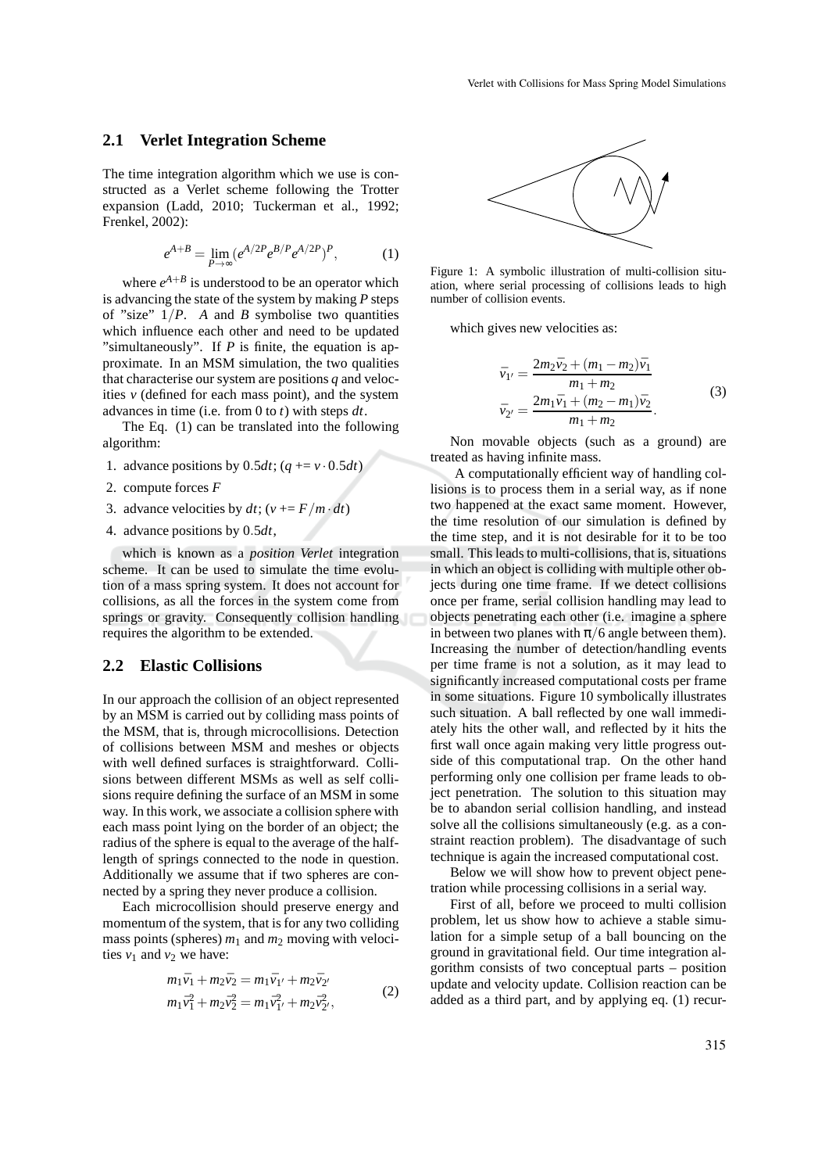#### **2.1 Verlet Integration Scheme**

The time integration algorithm which we use is constructed as a Verlet scheme following the Trotter expansion (Ladd, 2010; Tuckerman et al., 1992; Frenkel, 2002):

$$
e^{A+B} = \lim_{P \to \infty} (e^{A/2P} e^{B/P} e^{A/2P})^P, \tag{1}
$$

where  $e^{A+B}$  is understood to be an operator which is advancing the state of the system by making *P* steps of "size"  $1/P$ . *A* and *B* symbolise two quantities which influence each other and need to be updated "simultaneously". If *P* is finite, the equation is approximate. In an MSM simulation, the two qualities that characterise our system are positions *q* and velocities *v* (defined for each mass point), and the system advances in time (i.e. from 0 to *t*) with steps *dt*.

The Eq. (1) can be translated into the following algorithm:

- 1. advance positions by  $0.5dt$ ;  $(q + v \cdot 0.5dt)$
- 2. compute forces *F*
- 3. advance velocities by  $dt$ ; ( $v == F/m \cdot dt$ )
- 4. advance positions by 0.5*dt*,

which is known as a *position Verlet* integration scheme. It can be used to simulate the time evolution of a mass spring system. It does not account for collisions, as all the forces in the system come from springs or gravity. Consequently collision handling requires the algorithm to be extended.

#### **2.2 Elastic Collisions**

In our approach the collision of an object represented by an MSM is carried out by colliding mass points of the MSM, that is, through microcollisions. Detection of collisions between MSM and meshes or objects with well defined surfaces is straightforward. Collisions between different MSMs as well as self collisions require defining the surface of an MSM in some way. In this work, we associate a collision sphere with each mass point lying on the border of an object; the radius of the sphere is equal to the average of the halflength of springs connected to the node in question. Additionally we assume that if two spheres are connected by a spring they never produce a collision.

Each microcollision should preserve energy and momentum of the system, that is for any two colliding mass points (spheres)  $m_1$  and  $m_2$  moving with velocities  $v_1$  and  $v_2$  we have:

$$
m_1\bar{v}_1 + m_2\bar{v}_2 = m_1\bar{v}_1 + m_2\bar{v}_2
$$
  
\n
$$
m_1\bar{v}_1^2 + m_2\bar{v}_2^2 = m_1\bar{v}_1^2 + m_2\bar{v}_2^2,
$$
\n(2)



Figure 1: A symbolic illustration of multi-collision situation, where serial processing of collisions leads to high number of collision events.

which gives new velocities as:

$$
\bar{v}_{1'} = \frac{2m_2\bar{v}_2 + (m_1 - m_2)\bar{v}_1}{m_1 + m_2} \n\bar{v}_{2'} = \frac{2m_1\bar{v}_1 + (m_2 - m_1)\bar{v}_2}{m_1 + m_2}.
$$
\n(3)

Non movable objects (such as a ground) are treated as having infinite mass.

A computationally efficient way of handling collisions is to process them in a serial way, as if none two happened at the exact same moment. However, the time resolution of our simulation is defined by the time step, and it is not desirable for it to be too small. This leads to multi-collisions, that is, situations in which an object is colliding with multiple other objects during one time frame. If we detect collisions once per frame, serial collision handling may lead to objects penetrating each other (i.e. imagine a sphere in between two planes with  $\pi/6$  angle between them). Increasing the number of detection/handling events per time frame is not a solution, as it may lead to significantly increased computational costs per frame in some situations. Figure 10 symbolically illustrates such situation. A ball reflected by one wall immediately hits the other wall, and reflected by it hits the first wall once again making very little progress outside of this computational trap. On the other hand performing only one collision per frame leads to object penetration. The solution to this situation may be to abandon serial collision handling, and instead solve all the collisions simultaneously (e.g. as a constraint reaction problem). The disadvantage of such technique is again the increased computational cost.

Below we will show how to prevent object penetration while processing collisions in a serial way.

First of all, before we proceed to multi collision problem, let us show how to achieve a stable simulation for a simple setup of a ball bouncing on the ground in gravitational field. Our time integration algorithm consists of two conceptual parts – position update and velocity update. Collision reaction can be added as a third part, and by applying eq. (1) recur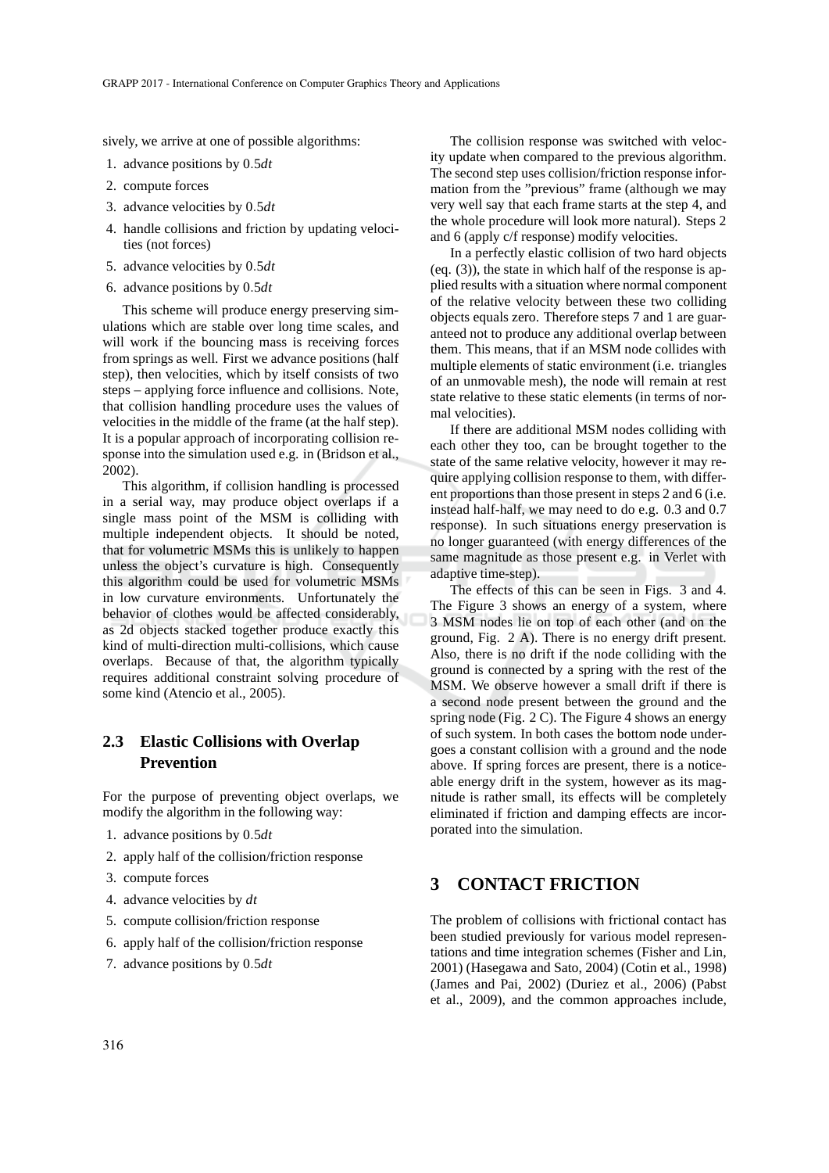sively, we arrive at one of possible algorithms:

- 1. advance positions by 0.5*dt*
- 2. compute forces
- 3. advance velocities by 0.5*dt*
- 4. handle collisions and friction by updating velocities (not forces)
- 5. advance velocities by 0.5*dt*
- 6. advance positions by 0.5*dt*

This scheme will produce energy preserving simulations which are stable over long time scales, and will work if the bouncing mass is receiving forces from springs as well. First we advance positions (half step), then velocities, which by itself consists of two steps – applying force influence and collisions. Note, that collision handling procedure uses the values of velocities in the middle of the frame (at the half step). It is a popular approach of incorporating collision response into the simulation used e.g. in (Bridson et al., 2002).

This algorithm, if collision handling is processed in a serial way, may produce object overlaps if a single mass point of the MSM is colliding with multiple independent objects. It should be noted, that for volumetric MSMs this is unlikely to happen unless the object's curvature is high. Consequently this algorithm could be used for volumetric MSMs in low curvature environments. Unfortunately the behavior of clothes would be affected considerably, as 2d objects stacked together produce exactly this kind of multi-direction multi-collisions, which cause overlaps. Because of that, the algorithm typically requires additional constraint solving procedure of some kind (Atencio et al., 2005).

### **2.3 Elastic Collisions with Overlap Prevention**

For the purpose of preventing object overlaps, we modify the algorithm in the following way:

- 1. advance positions by 0.5*dt*
- 2. apply half of the collision/friction response
- 3. compute forces
- 4. advance velocities by *dt*
- 5. compute collision/friction response
- 6. apply half of the collision/friction response
- 7. advance positions by 0.5*dt*

The collision response was switched with velocity update when compared to the previous algorithm. The second step uses collision/friction response information from the "previous" frame (although we may very well say that each frame starts at the step 4, and the whole procedure will look more natural). Steps 2 and 6 (apply c/f response) modify velocities.

In a perfectly elastic collision of two hard objects (eq. (3)), the state in which half of the response is applied results with a situation where normal component of the relative velocity between these two colliding objects equals zero. Therefore steps 7 and 1 are guaranteed not to produce any additional overlap between them. This means, that if an MSM node collides with multiple elements of static environment (i.e. triangles of an unmovable mesh), the node will remain at rest state relative to these static elements (in terms of normal velocities).

If there are additional MSM nodes colliding with each other they too, can be brought together to the state of the same relative velocity, however it may require applying collision response to them, with different proportions than those present in steps 2 and 6 (i.e. instead half-half, we may need to do e.g. 0.3 and 0.7 response). In such situations energy preservation is no longer guaranteed (with energy differences of the same magnitude as those present e.g. in Verlet with adaptive time-step).

The effects of this can be seen in Figs. 3 and 4. The Figure 3 shows an energy of a system, where 3 MSM nodes lie on top of each other (and on the ground, Fig. 2 A). There is no energy drift present. Also, there is no drift if the node colliding with the ground is connected by a spring with the rest of the MSM. We observe however a small drift if there is a second node present between the ground and the spring node (Fig.  $2 \text{ C}$ ). The Figure 4 shows an energy of such system. In both cases the bottom node undergoes a constant collision with a ground and the node above. If spring forces are present, there is a noticeable energy drift in the system, however as its magnitude is rather small, its effects will be completely eliminated if friction and damping effects are incorporated into the simulation.

## **3 CONTACT FRICTION**

The problem of collisions with frictional contact has been studied previously for various model representations and time integration schemes (Fisher and Lin, 2001) (Hasegawa and Sato, 2004) (Cotin et al., 1998) (James and Pai, 2002) (Duriez et al., 2006) (Pabst et al., 2009), and the common approaches include,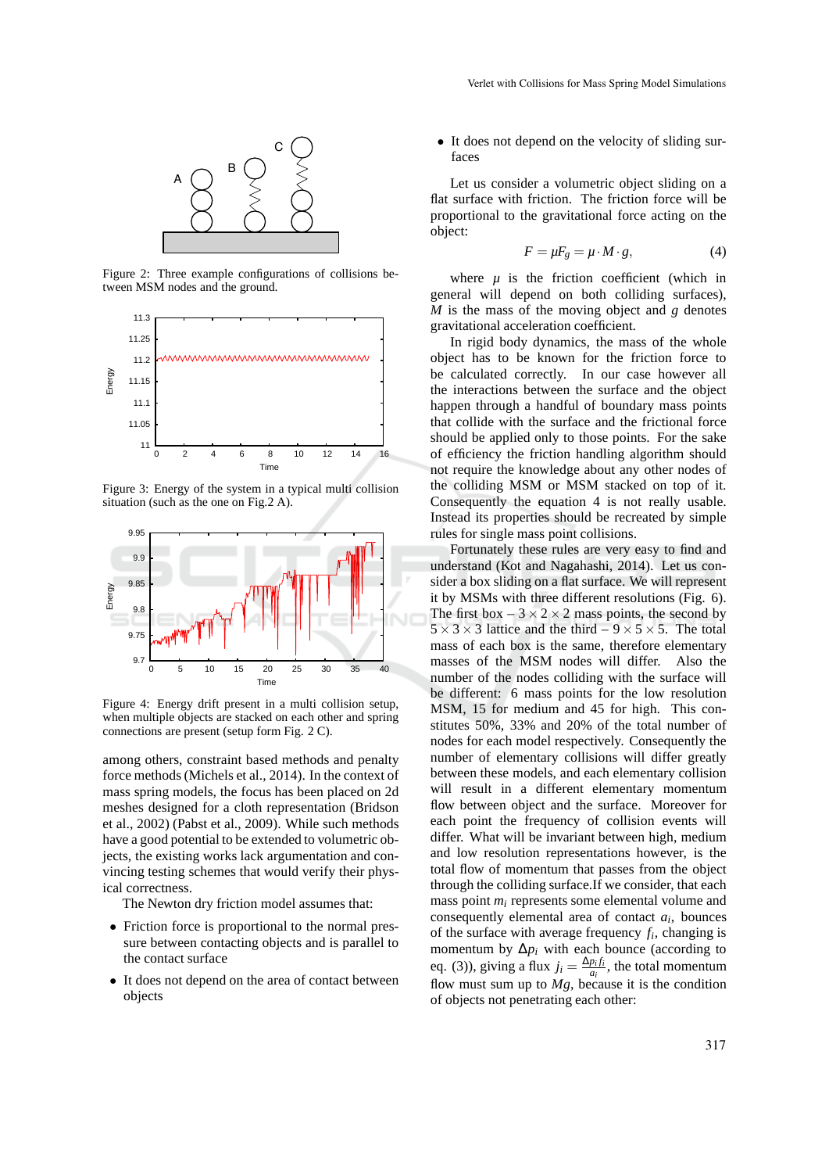

Figure 2: Three example configurations of collisions between MSM nodes and the ground.



Figure 3: Energy of the system in a typical multi collision situation (such as the one on Fig.2 A).



Figure 4: Energy drift present in a multi collision setup, when multiple objects are stacked on each other and spring connections are present (setup form Fig. 2 C).

among others, constraint based methods and penalty force methods (Michels et al., 2014). In the context of mass spring models, the focus has been placed on 2d meshes designed for a cloth representation (Bridson et al., 2002) (Pabst et al., 2009). While such methods have a good potential to be extended to volumetric objects, the existing works lack argumentation and convincing testing schemes that would verify their physical correctness.

The Newton dry friction model assumes that:

- Friction force is proportional to the normal pressure between contacting objects and is parallel to the contact surface
- It does not depend on the area of contact between objects

• It does not depend on the velocity of sliding surfaces

Let us consider a volumetric object sliding on a flat surface with friction. The friction force will be proportional to the gravitational force acting on the object:

$$
F = \mu F_g = \mu \cdot M \cdot g,\tag{4}
$$

where  $\mu$  is the friction coefficient (which in general will depend on both colliding surfaces), *M* is the mass of the moving object and *g* denotes gravitational acceleration coefficient.

In rigid body dynamics, the mass of the whole object has to be known for the friction force to be calculated correctly. In our case however all the interactions between the surface and the object happen through a handful of boundary mass points that collide with the surface and the frictional force should be applied only to those points. For the sake of efficiency the friction handling algorithm should not require the knowledge about any other nodes of the colliding MSM or MSM stacked on top of it. Consequently the equation 4 is not really usable. Instead its properties should be recreated by simple rules for single mass point collisions.

Fortunately these rules are very easy to find and understand (Kot and Nagahashi, 2014). Let us consider a box sliding on a flat surface. We will represent it by MSMs with three different resolutions (Fig. 6). The first box  $-3 \times 2 \times 2$  mass points, the second by  $5 \times 3 \times 3$  lattice and the third –  $9 \times 5 \times 5$ . The total mass of each box is the same, therefore elementary masses of the MSM nodes will differ. Also the number of the nodes colliding with the surface will be different: 6 mass points for the low resolution MSM, 15 for medium and 45 for high. This constitutes 50%, 33% and 20% of the total number of nodes for each model respectively. Consequently the number of elementary collisions will differ greatly between these models, and each elementary collision will result in a different elementary momentum flow between object and the surface. Moreover for each point the frequency of collision events will differ. What will be invariant between high, medium and low resolution representations however, is the total flow of momentum that passes from the object through the colliding surface.If we consider, that each mass point *m<sup>i</sup>* represents some elemental volume and consequently elemental area of contact *a<sup>i</sup>* , bounces of the surface with average frequency  $f_i$ , changing is momentum by  $\Delta p_i$  with each bounce (according to eq. (3)), giving a flux  $j_i = \frac{\Delta p_i f_i}{q_i}$  $\frac{p_i f_i}{a_i}$ , the total momentum flow must sum up to  $Mg$ , because it is the condition of objects not penetrating each other: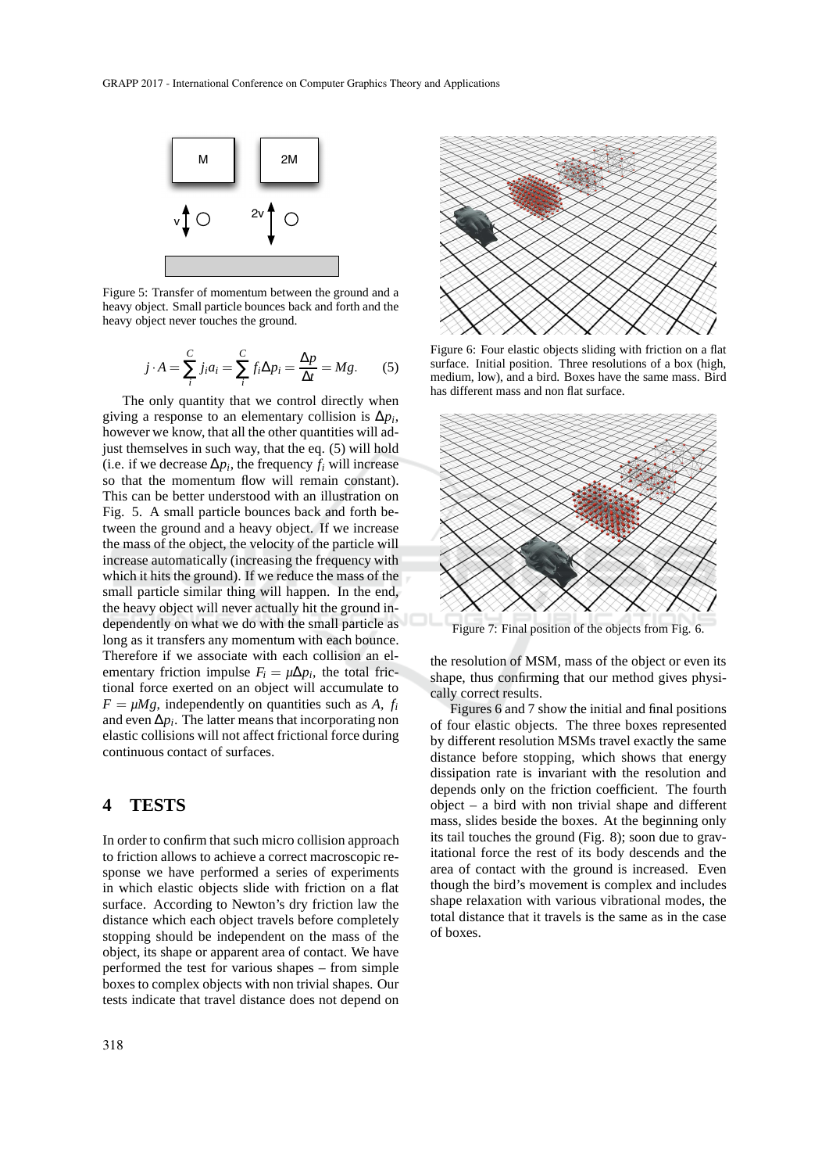

Figure 5: Transfer of momentum between the ground and a heavy object. Small particle bounces back and forth and the heavy object never touches the ground.

$$
j \cdot A = \sum_{i}^{C} j_i a_i = \sum_{i}^{C} f_i \Delta p_i = \frac{\Delta p}{\Delta t} = Mg. \tag{5}
$$

The only quantity that we control directly when giving a response to an elementary collision is  $\Delta p_i$ , however we know, that all the other quantities will adjust themselves in such way, that the eq. (5) will hold (i.e. if we decrease  $\Delta p_i$ , the frequency  $f_i$  will increase so that the momentum flow will remain constant). This can be better understood with an illustration on Fig. 5. A small particle bounces back and forth between the ground and a heavy object. If we increase the mass of the object, the velocity of the particle will increase automatically (increasing the frequency with which it hits the ground). If we reduce the mass of the small particle similar thing will happen. In the end, the heavy object will never actually hit the ground independently on what we do with the small particle as long as it transfers any momentum with each bounce. Therefore if we associate with each collision an elementary friction impulse  $F_i = \mu \Delta p_i$ , the total frictional force exerted on an object will accumulate to  $F = \mu Mg$ , independently on quantities such as *A*, *f<sub>i</sub>* and even ∆*p<sup>i</sup>* . The latter means that incorporating non elastic collisions will not affect frictional force during continuous contact of surfaces.

#### **4 TESTS**

In order to confirm that such micro collision approach to friction allows to achieve a correct macroscopic response we have performed a series of experiments in which elastic objects slide with friction on a flat surface. According to Newton's dry friction law the distance which each object travels before completely stopping should be independent on the mass of the object, its shape or apparent area of contact. We have performed the test for various shapes – from simple boxes to complex objects with non trivial shapes. Our tests indicate that travel distance does not depend on



Figure 6: Four elastic objects sliding with friction on a flat surface. Initial position. Three resolutions of a box (high, medium, low), and a bird. Boxes have the same mass. Bird has different mass and non flat surface.



Figure 7: Final position of the objects from Fig. 6.

the resolution of MSM, mass of the object or even its shape, thus confirming that our method gives physically correct results.

Figures 6 and 7 show the initial and final positions of four elastic objects. The three boxes represented by different resolution MSMs travel exactly the same distance before stopping, which shows that energy dissipation rate is invariant with the resolution and depends only on the friction coefficient. The fourth object – a bird with non trivial shape and different mass, slides beside the boxes. At the beginning only its tail touches the ground (Fig. 8); soon due to gravitational force the rest of its body descends and the area of contact with the ground is increased. Even though the bird's movement is complex and includes shape relaxation with various vibrational modes, the total distance that it travels is the same as in the case of boxes.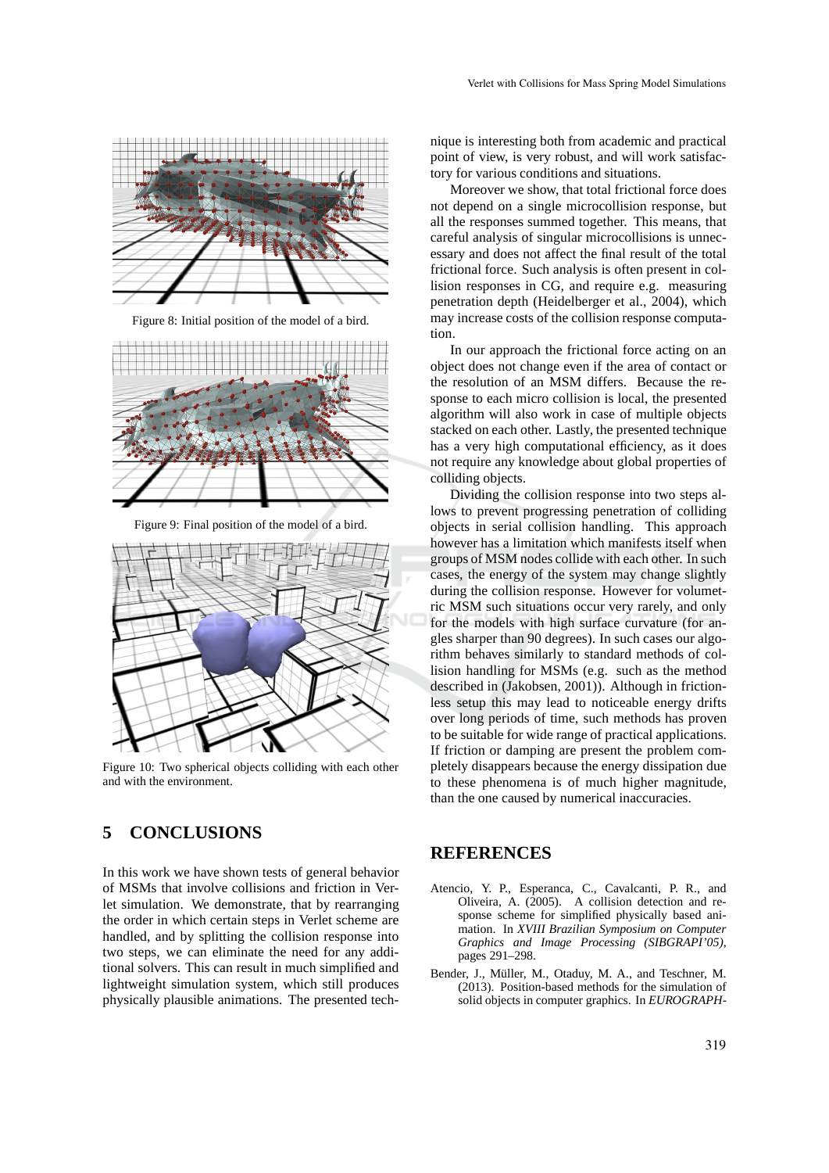

Figure 8: Initial position of the model of a bird.



Figure 9: Final position of the model of a bird.



Figure 10: Two spherical objects colliding with each other and with the environment.

# **5 CONCLUSIONS**

In this work we have shown tests of general behavior of MSMs that involve collisions and friction in Verlet simulation. We demonstrate, that by rearranging the order in which certain steps in Verlet scheme are handled, and by splitting the collision response into two steps, we can eliminate the need for any additional solvers. This can result in much simplified and lightweight simulation system, which still produces physically plausible animations. The presented technique is interesting both from academic and practical point of view, is very robust, and will work satisfactory for various conditions and situations.

Moreover we show, that total frictional force does not depend on a single microcollision response, but all the responses summed together. This means, that careful analysis of singular microcollisions is unnecessary and does not affect the final result of the total frictional force. Such analysis is often present in collision responses in CG, and require e.g. measuring penetration depth (Heidelberger et al., 2004), which may increase costs of the collision response computation.

In our approach the frictional force acting on an object does not change even if the area of contact or the resolution of an MSM differs. Because the response to each micro collision is local, the presented algorithm will also work in case of multiple objects stacked on each other. Lastly, the presented technique has a very high computational efficiency, as it does not require any knowledge about global properties of colliding objects.

Dividing the collision response into two steps allows to prevent progressing penetration of colliding objects in serial collision handling. This approach however has a limitation which manifests itself when groups of MSM nodes collide with each other. In such cases, the energy of the system may change slightly during the collision response. However for volumetric MSM such situations occur very rarely, and only for the models with high surface curvature (for angles sharper than 90 degrees). In such cases our algorithm behaves similarly to standard methods of collision handling for MSMs (e.g. such as the method described in (Jakobsen, 2001)). Although in frictionless setup this may lead to noticeable energy drifts over long periods of time, such methods has proven to be suitable for wide range of practical applications. If friction or damping are present the problem completely disappears because the energy dissipation due to these phenomena is of much higher magnitude, than the one caused by numerical inaccuracies.

### **REFERENCES**

- Atencio, Y. P., Esperanca, C., Cavalcanti, P. R., and Oliveira, A. (2005). A collision detection and response scheme for simplified physically based animation. In *XVIII Brazilian Symposium on Computer Graphics and Image Processing (SIBGRAPI'05)*, pages 291–298.
- Bender, J., Müller, M., Otaduy, M. A., and Teschner, M. (2013). Position-based methods for the simulation of solid objects in computer graphics. In *EUROGRAPH-*